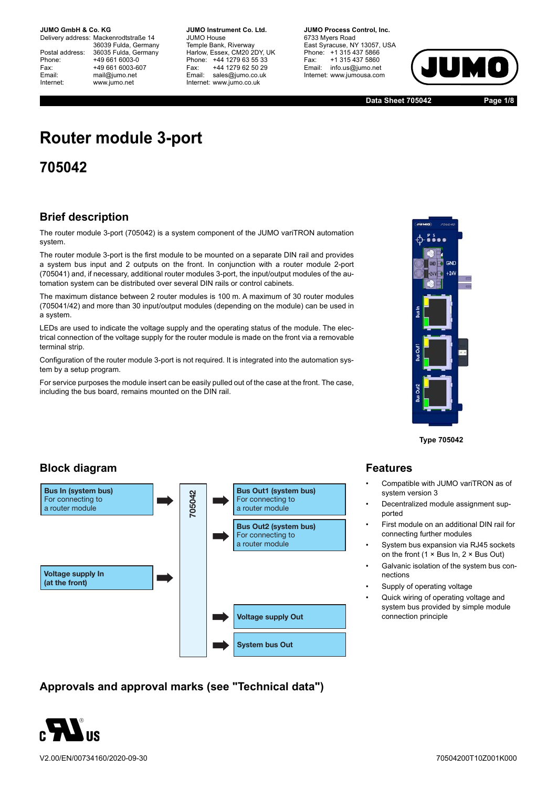Delivery address: Mackenrodtstraße 14 36039 Fulda, Germany Postal address: 36035 Fulda, Germany<br>Phone: +49 661 6003-0 Phone: +49 661 6003-0<br>Fax: +49 661 6003-6 Fax: +49 661 6003-607<br>
Fmail: mail@iumo.net mail@iumo.net Internet: www.jumo.net

**-BUMO Instrument Co. Ltd.** JUMO House Temple Bank, Riverway Harlow, Essex, CM20 2DY, UK Phone: +44 1279 63 55 33<br>Fax: +44 1279 62 50 29 +44 1279 62 50 29 Email: sales@jumo.co.uk Internet: www.jumo.co.uk

**-BURG Process Control Inc.** 6733 Myers Road East Syracuse, NY 13057, USA Phone: +1 315 437 5866<br>Fax: +1 315 437 5860 Fax: +1 315 437 5860<br>Email: info.us@jumo.net info.us@jumo.net Internet: www.jumousa.com



**Data Sheet 705042 Page 1/8**

# **Router module 3-port**

**705042**

### **Brief description**

The router module 3-port (705042) is a system component of the JUMO variTRON automation system.

The router module 3-port is the first module to be mounted on a separate DIN rail and provides a system bus input and 2 outputs on the front. In conjunction with a router module 2-port (705041) and, if necessary, additional router modules 3-port, the input/output modules of the automation system can be distributed over several DIN rails or control cabinets.

The maximum distance between 2 router modules is 100 m. A maximum of 30 router modules (705041/42) and more than 30 input/output modules (depending on the module) can be used in a system.

LEDs are used to indicate the voltage supply and the operating status of the module. The electrical connection of the voltage supply for the router module is made on the front via a removable terminal strip.

Configuration of the router module 3-port is not required. It is integrated into the automation system by a setup program.

For service purposes the module insert can be easily pulled out of the case at the front. The case, including the bus board, remains mounted on the DIN rail.



**Type 705042**

### **Block diagram**



**Approvals and approval marks (see "Technical data")**



V2.00/EN/00734160/2020-09-30

### **Features**

- Compatible with JUMO variTRON as of system version 3
- Decentralized module assignment supported
- First module on an additional DIN rail for connecting further modules
- System bus expansion via RJ45 sockets on the front (1 × Bus In, 2 × Bus Out)
- Galvanic isolation of the system bus connections
- Supply of operating voltage
- Quick wiring of operating voltage and system bus provided by simple module connection principle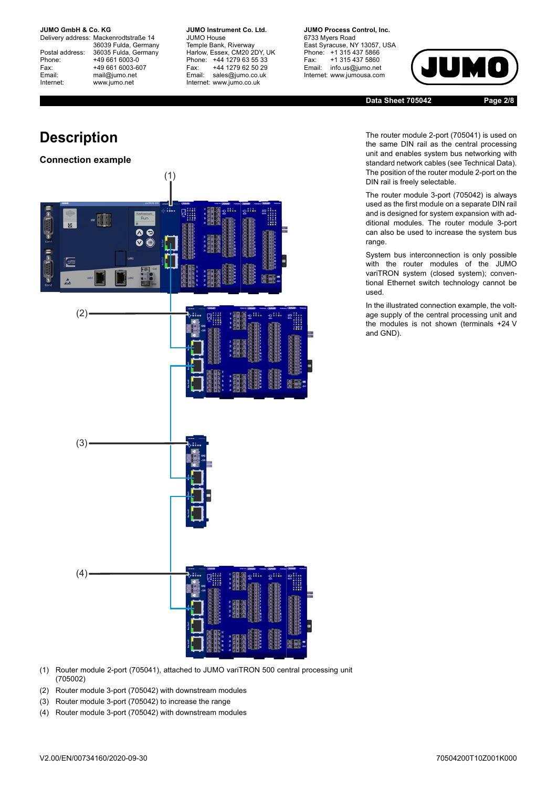Delivery address: Mackenrodtstraße 14 36039 Fulda, Germany Postal address: 36035 Fulda, Germany<br>Phone: +49 661 6003-0 Phone: +49 661 6003-0<br>Fax: +49 661 6003-6 Fax: +49 661 6003-607<br>
Fmail: mail@iumo.net mail@jumo.net Internet: www.jumo.net

**JUMO Instrument Co. Ltd.** JUMO House Temple Bank, Riverway Harlow, Essex, CM20 2DY, UK Phone: +44 1279 63 55 33<br>Fax: +44 1279 62 50 29 Fax: +44 1279 62 50 29<br>Email: sales@iumo.co.uk sales@jumo.co.uk Internet: www.jumo.co.uk

**JUMO Process Control, Inc.** 6733 Myers Road East Syracuse, NY 13057, USA Phone: +1 315 437 5866<br>Fax: +1 315 437 5860 Fax: +1 315 437 5860<br>Email: info.us@jumo.net info.us@jumo.net Internet: www.jumousa.com



**Data Sheet 705042 Page 2/8**

The router module 2-port (705041) is used on the same DIN rail as the central processing unit and enables system bus networking with standard network cables (see Technical Data). The position of the router module 2-port on the DIN rail is freely selectable.

The router module 3-port (705042) is always used as the first module on a separate DIN rail and is designed for system expansion with additional modules. The router module 3-port can also be used to increase the system bus range.

System bus interconnection is only possible with the router modules of the JUMO variTRON system (closed system); conventional Ethernet switch technology cannot be used.

In the illustrated connection example, the voltage supply of the central processing unit and the modules is not shown (terminals +24 V and GND).

# **Description**

#### **Connection example**



- (1) Router module 2-port (705041), attached to JUMO variTRON 500 central processing unit (705002)
- (2) Router module 3-port (705042) with downstream modules
- (3) Router module 3-port (705042) to increase the range
- (4) Router module 3-port (705042) with downstream modules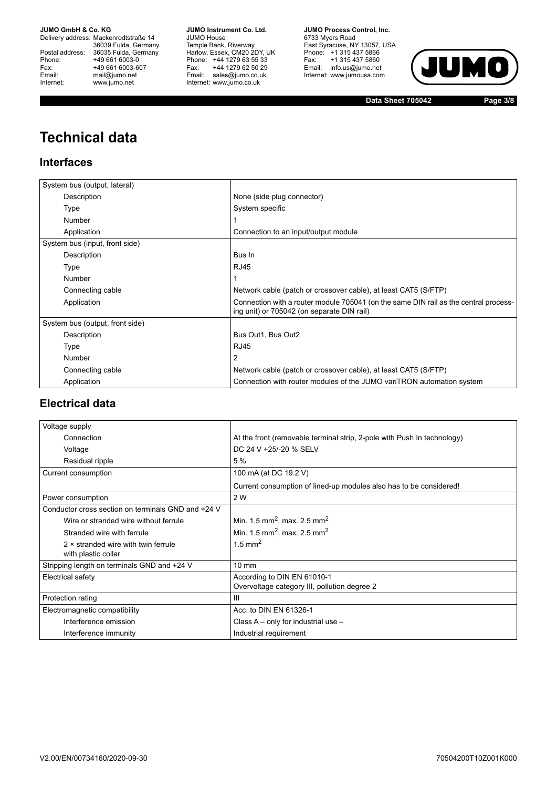Delivery address: Mackenrodtstraße 14 36039 Fulda, Germany<br>Postal address: 36035 Fulda, Germany Phone: +49 661 6003-0<br>
Fax: +49 661 6003-6<br>
Email: mail@jumo.net +49 661 6003-607 Email: mail@jumo.net<br>Internet: www.iumo.net www.jumo.net

**JUMO Instrument Co. Ltd.** JUMO House Temple Bank, Riverway<br>Harlow, Essex, CM20 2DY, UK Phone: +44 1279 63 55 33 Fax: +44 1279 62 50 29<br>Email: sales@jumo.co.uk Internet: www.jumo.co.uk

**JUMO Process Control. Inc.** 6733 Myers Road East Syracuse, NY 13057, USA<br>Phone: +1 315 437 5866<br>Fax: +1 315 437 5860 Email: info.us@jumo.net Internet: www.jumousa.com



**Data Sheet 705042 Page 3/8**

# **Technical data**

### **Interfaces**

| None (side plug connector)                                                                                                         |  |  |
|------------------------------------------------------------------------------------------------------------------------------------|--|--|
| System specific                                                                                                                    |  |  |
|                                                                                                                                    |  |  |
| Connection to an input/output module                                                                                               |  |  |
|                                                                                                                                    |  |  |
| Bus In                                                                                                                             |  |  |
| <b>RJ45</b>                                                                                                                        |  |  |
|                                                                                                                                    |  |  |
| Network cable (patch or crossover cable), at least CAT5 (S/FTP)                                                                    |  |  |
| Connection with a router module 705041 (on the same DIN rail as the central process-<br>ing unit) or 705042 (on separate DIN rail) |  |  |
|                                                                                                                                    |  |  |
| Bus Out1, Bus Out2                                                                                                                 |  |  |
| <b>RJ45</b>                                                                                                                        |  |  |
| 2                                                                                                                                  |  |  |
| Network cable (patch or crossover cable), at least CAT5 (S/FTP)                                                                    |  |  |
| Connection with router modules of the JUMO variTRON automation system                                                              |  |  |
|                                                                                                                                    |  |  |

### **Electrical data**

| Voltage supply                                                    |                                                                         |
|-------------------------------------------------------------------|-------------------------------------------------------------------------|
| Connection                                                        | At the front (removable terminal strip, 2-pole with Push In technology) |
| Voltage                                                           | DC 24 V +25/-20 % SELV                                                  |
| Residual ripple                                                   | 5 %                                                                     |
| Current consumption                                               | 100 mA (at DC 19.2 V)                                                   |
|                                                                   | Current consumption of lined-up modules also has to be considered!      |
| Power consumption                                                 | 2 W                                                                     |
| Conductor cross section on terminals GND and +24 V                |                                                                         |
| Wire or stranded wire without ferrule                             | Min. 1.5 mm <sup>2</sup> , max. 2.5 mm <sup>2</sup>                     |
| Stranded wire with ferrule                                        | Min. 1.5 mm <sup>2</sup> , max, 2.5 mm <sup>2</sup>                     |
| $2 \times$ stranded wire with twin ferrule<br>with plastic collar | 1.5 mm <sup>2</sup>                                                     |
| Stripping length on terminals GND and +24 V                       | $10 \text{ mm}$                                                         |
| Electrical safety                                                 | According to DIN EN 61010-1                                             |
|                                                                   | Overvoltage category III, pollution degree 2                            |
| Protection rating                                                 | $\mathbf{III}$                                                          |
| Electromagnetic compatibility                                     | Acc. to DIN EN 61326-1                                                  |
| Interference emission                                             | Class A - only for industrial use -                                     |
| Interference immunity                                             | Industrial requirement                                                  |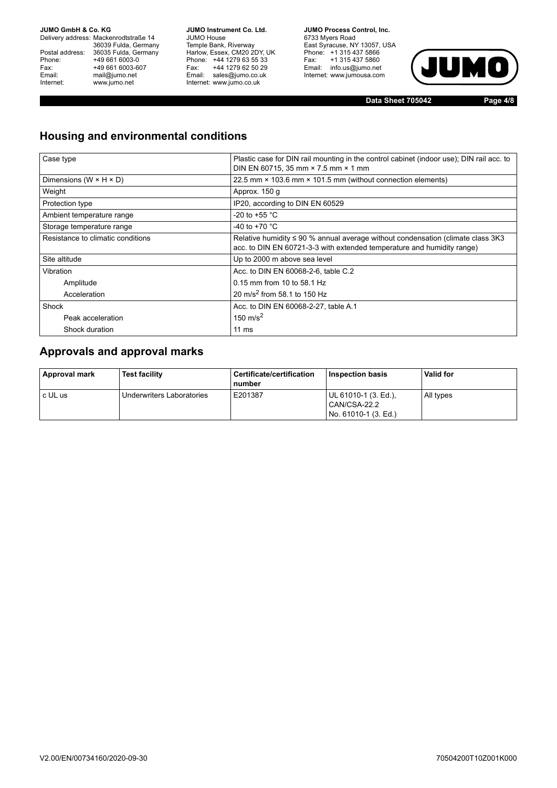Delivery address: Mackenrodtstraße 14 36039 Fulda, Germany<br>Postal address: 36035 Fulda, Germany Phone: +49 661 6003-0<br>
Fax: +49 661 6003-6<br>
Email: mail@jumo.net +49 661 6003-607 Email: mail@jumo.net<br>Internet: www.iumo.net www.jumo.net

**JUMO Instrument Co. Ltd.** JUMO House Temple Bank, Riverway<br>Harlow, Essex, CM20 2DY, UK Phone: +44 1279 63 55 33 Fax: +44 1279 62 50 29<br>Email: sales@jumo.co.uk Internet: www.jumo.co.uk

**JUMO Process Control. Inc.** 6733 Myers Road East Syracuse, NY 13057, USA<br>Phone: +1 315 437 5866<br>Fax: +1 315 437 5860 Email: info.us@jumo.net Internet: www.jumousa.com



**Data Sheet 705042 Page 4/8**

### **Housing and environmental conditions**

| Case type                            | Plastic case for DIN rail mounting in the control cabinet (indoor use); DIN rail acc. to<br>DIN EN 60715, 35 mm × 7.5 mm × 1 mm                                |  |
|--------------------------------------|----------------------------------------------------------------------------------------------------------------------------------------------------------------|--|
| Dimensions ( $W \times H \times D$ ) | 22.5 mm × 103.6 mm × 101.5 mm (without connection elements)                                                                                                    |  |
| Weight                               | Approx. 150 g                                                                                                                                                  |  |
| Protection type                      | IP20, according to DIN EN 60529                                                                                                                                |  |
| Ambient temperature range            | -20 to +55 $^{\circ}$ C                                                                                                                                        |  |
| Storage temperature range            | -40 to +70 $^{\circ}$ C                                                                                                                                        |  |
| Resistance to climatic conditions    | Relative humidity $\leq 90$ % annual average without condensation (climate class 3K3<br>acc. to DIN EN 60721-3-3 with extended temperature and humidity range) |  |
| Site altitude                        | Up to 2000 m above sea level                                                                                                                                   |  |
| Vibration                            | Acc. to DIN EN 60068-2-6, table C.2                                                                                                                            |  |
| Amplitude                            | 0.15 mm from 10 to 58.1 Hz                                                                                                                                     |  |
| Acceleration                         | 20 m/s <sup>2</sup> from 58.1 to 150 Hz                                                                                                                        |  |
| Shock                                | Acc. to DIN EN 60068-2-27, table A.1                                                                                                                           |  |
| Peak acceleration                    | 150 m/s <sup>2</sup>                                                                                                                                           |  |
| Shock duration                       | $11 \text{ ms}$                                                                                                                                                |  |

### **Approvals and approval marks**

| Approval mark | <b>Test facility</b>      | Certificate/certification<br>number | <b>Inspection basis</b>                                      | <b>Valid for</b> |
|---------------|---------------------------|-------------------------------------|--------------------------------------------------------------|------------------|
| c UL us       | Underwriters Laboratories | E201387                             | UL 61010-1 (3. Ed.).<br>CAN/CSA-22.2<br>No. 61010-1 (3. Ed.) | All types        |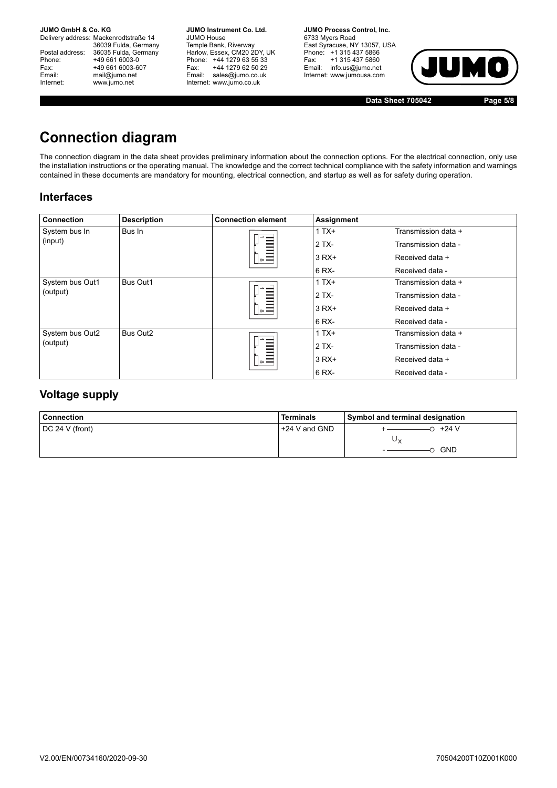Delivery address: Mackenrodtstraße 14 36039 Fulda, Germany<br>Postal address: 36035 Fulda, Germany Phone: +49 661 6003-0<br>
Fax: +49 661 6003-6<br>
Email: mail@jumo.net +49 661 6003-607 mail@jumo.net Internet: www.jumo.net

**JUMO Instrument Co. Ltd.** JUMO House Temple Bank, Riverway<br>Harlow, Essex, CM20 2DY, UK Phone: +44 1279 63 55 33<br>Fax: +44 1279 62 50 29 +44 1279 62 50 29 Email: sales@jumo.co.uk Internet: www.jumo.co.uk

**JUMO Process Control, Inc.** 6733 Myers Road East Syracuse, NY 13057, USA Phone: +1 315 437 5866<br>Fax: +1 315 437 5860 Email: info.us@jumo.net Internet: www.jumousa.com



**Data Sheet 705042 Page 5/8**

## **Connection diagram**

The connection diagram in the data sheet provides preliminary information about the connection options. For the electrical connection, only use the installation instructions or the operating manual. The knowledge and the correct technical compliance with the safety information and warnings contained in these documents are mandatory for mounting, electrical connection, and startup as well as for safety during operation.

### **Interfaces**

| Connection      | <b>Description</b> | <b>Connection element</b> | Assignment |                     |
|-----------------|--------------------|---------------------------|------------|---------------------|
| System bus In   | Bus In             |                           | $1 T X+$   | Transmission data + |
| (input)         |                    |                           | $2TX -$    | Transmission data - |
|                 |                    | $\vert_{\infty} \equiv$   | $3 RX+$    | Received data +     |
|                 |                    |                           | 6 RX-      | Received data -     |
| System bus Out1 | Bus Out1           |                           | $1 T X+$   | Transmission data + |
| (output)        |                    |                           | $2TX -$    | Transmission data - |
|                 |                    | ÷<br>$\circ$ $\equiv$     | $3 RX+$    | Received data +     |
|                 |                    |                           | 6 RX-      | Received data -     |
| System bus Out2 | Bus Out2           |                           | $1 T X+$   | Transmission data + |
| (output)        |                    |                           | $2TX -$    | Transmission data - |
|                 |                    | $\sim$ $=$                | $3 RX+$    | Received data +     |
|                 |                    |                           | 6 RX-      | Received data -     |

### **Voltage supply**

| <b>Connection</b> | <b>Terminals</b> | Symbol and terminal designation |
|-------------------|------------------|---------------------------------|
| DC 24 V (front)   | +24 V and GND    | +24 V                           |
|                   |                  | Uχ                              |
|                   |                  | <b>GND</b>                      |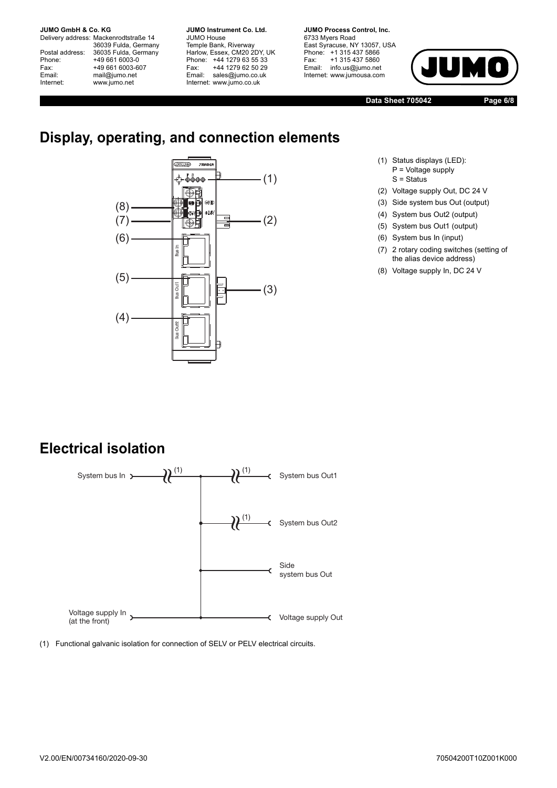Delivery address: Mackenrodtstraße 14 36039 Fulda, Germany Postal address: 36035 Fulda, Germany<br>Phone: +49 661 6003-0 Phone: +49 661 6003-0<br>Fax: +49 661 6003-6 Fax: +49 661 6003-607<br>
Email: mail@jumo.net mail@jumo.net Internet: www.jumo.net

**JUMO Instrument Co. Ltd.** JUMO House Temple Bank, Riverway<br>Harlow, Essex, CM20 2DY, UK Phone: +44 1279 63 55 33<br>Fax: +44 1279 62 50 29 +44 1279 62 50 29 Email: sales@jumo.co.uk Internet: www.jumo.co.uk

**JUMO Process Control, Inc.** 6733 Myers Road East Syracuse, NY 13057, USA Phone: +1 315 437 5866<br>Fax: +1 315 437 5860 Email: info.us@jumo.net Internet: www.jumousa.com

**Data Sheet 705042 Page 6/8**

# **Display, operating, and connection elements**



- (1) Status displays (LED): P = Voltage supply  $S =$  Status
- (2) Voltage supply Out, DC 24 V
- (3) Side system bus Out (output)
- (4) System bus Out2 (output)
- (5) System bus Out1 (output)
- (6) System bus In (input)
- (7) 2 rotary coding switches (setting of the alias device address)
- (8) Voltage supply In, DC 24 V

## **Electrical isolation**



(1) Functional galvanic isolation for connection of SELV or PELV electrical circuits.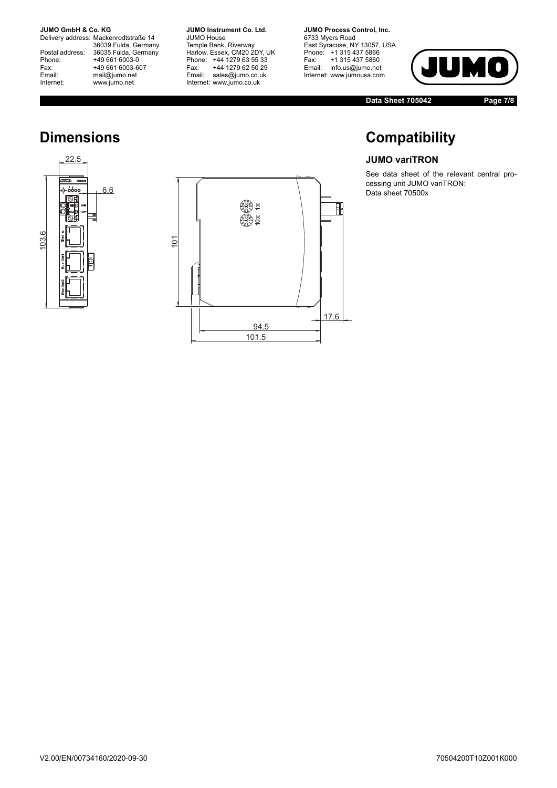Delivery address: Mackenrodtstraße 14 36039 Fulda, Germany<br>Postal address: 36035 Fulda, Germany Phone: +49 661 6003-0<br>
Fax: +49 661 6003-6<br>
Email: mail@jumo.net +49 661 6003-607 Email: mail@jumo.net<br>Internet: www.iumo.net www.jumo.net

**JUMO Instrument Co. Ltd.** JUMO House Temple Bank, Riverway<br>Harlow, Essex, CM20 2DY, UK Phone: +44 1279 63 55 33<br>Fax: +44 1279 62 50 29 +44 1279 62 50 29 Email: sales@jumo.co.uk Internet: www.jumo.co.uk

**JUMO Process Control, Inc.** 6733 Myers Road East Syracuse, NY 13057, USA<br>Phone: +1 315 437 5866<br>Fax: +1 315 437 5860 rax. Tribitary 5000 Internet: www.jumousa.com



**Data Sheet 705042 Page 7/8**

## **Compatibility**

#### **JUMO variTRON**

See data sheet of the relevant central processing unit JUMO variTRON: Data sheet 70500x



**Dimensions**